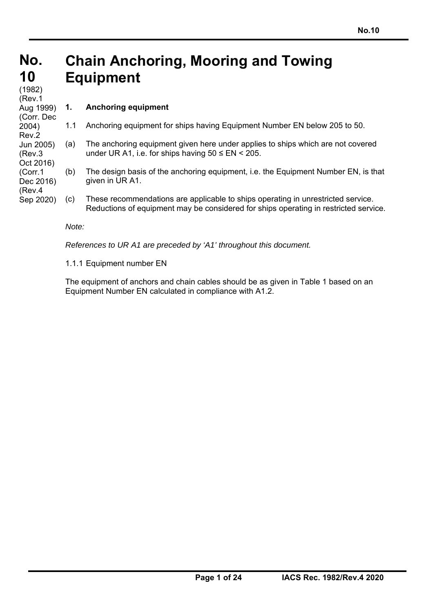#### **No. No. 10 10 Chain Anchoring, Mooring and Towing Equipment**

ر <sub>1902)</sub><br>(Rev.1 (1982) Aug 1999) (Corr. Dec 2004) Rev.2 Jun 2005) (Rev.3 Oct 2016) (Corr.1 Dec 2016) (Rev.4 Sep 2020)

# **1. Anchoring equipment**

- 1.1 Anchoring equipment for ships having Equipment Number EN below 205 to 50.
- (a) The anchoring equipment given here under applies to ships which are not covered under UR A1, i.e. for ships having  $50 \leq EN \leq 205$ .
- (b) The design basis of the anchoring equipment, i.e. the Equipment Number EN, is that given in UR A1.
- (c) These recommendations are applicable to ships operating in unrestricted service. Reductions of equipment may be considered for ships operating in restricted service.

### *Note:*

*References to UR A1 are preceded by 'A1' throughout this document.* 

1.1.1 Equipment number EN

The equipment of anchors and chain cables should be as given in Table 1 based on an Equipment Number EN calculated in compliance with A1.2.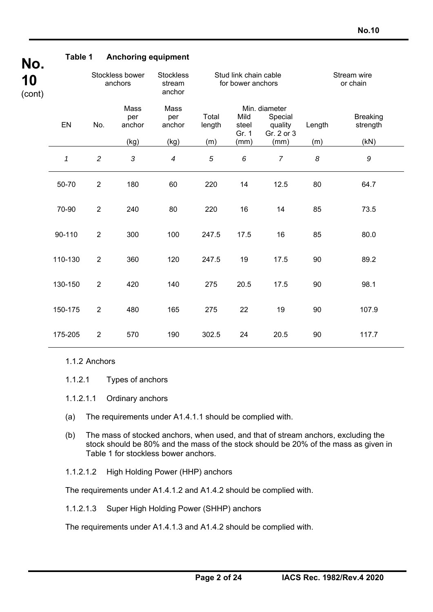| Table 1      |                            |                       | <b>Anchoring equipment</b>           |                                            |                        |                                                   |                         |                             |
|--------------|----------------------------|-----------------------|--------------------------------------|--------------------------------------------|------------------------|---------------------------------------------------|-------------------------|-----------------------------|
|              | Stockless bower<br>anchors |                       | <b>Stockless</b><br>stream<br>anchor | Stud link chain cable<br>for bower anchors |                        |                                                   | Stream wire<br>or chain |                             |
| EN           | No.                        | Mass<br>per<br>anchor | Mass<br>per<br>anchor                | Total<br>length                            | Mild<br>steel<br>Gr. 1 | Min. diameter<br>Special<br>quality<br>Gr. 2 or 3 | Length                  | <b>Breaking</b><br>strength |
|              |                            | (kg)                  | (kg)                                 | (m)                                        | (mm)                   | (mm)                                              | (m)                     | (kN)                        |
| $\mathbf{1}$ | $\overline{2}$             | $\mathfrak{Z}$        | $\overline{4}$                       | $\overline{5}$                             | 6                      | $\overline{7}$                                    | $\boldsymbol{\delta}$   | $\boldsymbol{g}$            |
| 50-70        | $\overline{2}$             | 180                   | 60                                   | 220                                        | 14                     | 12.5                                              | 80                      | 64.7                        |
| 70-90        | $\overline{2}$             | 240                   | 80                                   | 220                                        | 16                     | 14                                                | 85                      | 73.5                        |
| 90-110       | $\overline{2}$             | 300                   | 100                                  | 247.5                                      | 17.5                   | 16                                                | 85                      | 80.0                        |
| 110-130      | $\overline{2}$             | 360                   | 120                                  | 247.5                                      | 19                     | 17.5                                              | 90                      | 89.2                        |
| 130-150      | $\overline{2}$             | 420                   | 140                                  | 275                                        | 20.5                   | 17.5                                              | 90                      | 98.1                        |
| 150-175      | $\overline{2}$             | 480                   | 165                                  | 275                                        | 22                     | 19                                                | 90                      | 107.9                       |
| 175-205      | $\overline{2}$             | 570                   | 190                                  | 302.5                                      | 24                     | 20.5                                              | 90                      | 117.7                       |
|              |                            |                       |                                      |                                            |                        |                                                   |                         |                             |

### 1.1.2 Anchors

1.1.2.1 Types of anchors

- 1.1.2.1.1 Ordinary anchors
- (a) The requirements under A1.4.1.1 should be complied with.
- (b) The mass of stocked anchors, when used, and that of stream anchors, excluding the stock should be 80% and the mass of the stock should be 20% of the mass as given in Table 1 for stockless bower anchors.
- 1.1.2.1.2 High Holding Power (HHP) anchors

The requirements under A1.4.1.2 and A1.4.2 should be complied with.

1.1.2.1.3 Super High Holding Power (SHHP) anchors

The requirements under A1.4.1.3 and A1.4.2 should be complied with.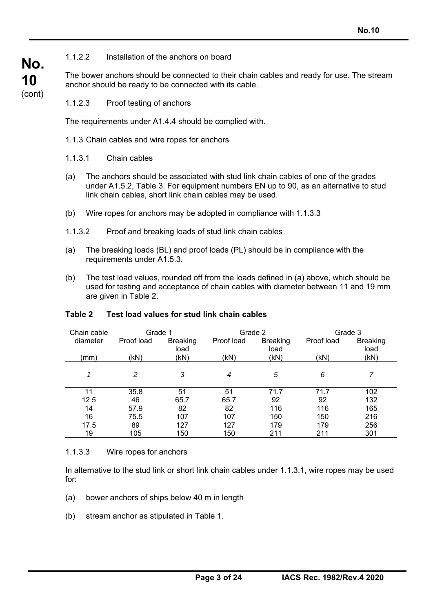### 1.1.2.2 Installation of the anchors on board

The bower anchors should be connected to their chain cables and ready for use. The stream anchor should be ready to be connected with its cable.

1.1.2.3 Proof testing of anchors

The requirements under A1.4.4 should be complied with.

- 1.1.3 Chain cables and wire ropes for anchors
- 1.1.3.1 Chain cables

**No.**

**10**  (cont)

- (a) The anchors should be associated with stud link chain cables of one of the grades under A1.5.2, Table 3. For equipment numbers EN up to 90, as an alternative to stud link chain cables, short link chain cables may be used.
- (b) Wire ropes for anchors may be adopted in compliance with 1.1.3.3
- 1.1.3.2 Proof and breaking loads of stud link chain cables
- (a) The breaking loads (BL) and proof loads (PL) should be in compliance with the requirements under A1.5.3.
- (b) The test load values, rounded off from the loads defined in (a) above, which should be used for testing and acceptance of chain cables with diameter between 11 and 19 mm are given in Table 2.

| Chain cable | Grade 1    |                         | Grade 2    |                         |            | Grade 3                 |
|-------------|------------|-------------------------|------------|-------------------------|------------|-------------------------|
| diameter    | Proof load | <b>Breaking</b><br>load | Proof load | <b>Breaking</b><br>load | Proof load | <b>Breaking</b><br>load |
| (mm)        | (kN)       | (kN)                    | (kN)       | (kN)                    | (kN)       | (kN)                    |
| 1           | 2          | 3                       | 4          | 5                       | 6          |                         |
| 11          | 35.8       | 51                      | 51         | 71.7                    | 71.7       | 102                     |
| 12.5        | 46         | 65.7                    | 65.7       | 92                      | 92         | 132                     |
| 14          | 57.9       | 82                      | 82         | 116                     | 116        | 165                     |
| 16          | 75.5       | 107                     | 107        | 150                     | 150        | 216                     |
| 17.5        | 89         | 127                     | 127        | 179                     | 179        | 256                     |
| 19          | 105        | 150                     | 150        | 211                     | 211        | 301                     |

#### **Table 2 Test load values for stud link chain cables**

1.1.3.3 Wire ropes for anchors

In alternative to the stud link or short link chain cables under 1.1.3.1, wire ropes may be used for:

- (a) bower anchors of ships below 40 m in length
- (b) stream anchor as stipulated in Table 1.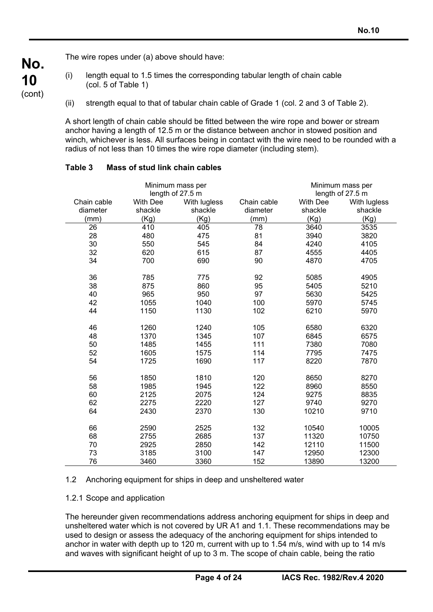The wire ropes under (a) above should have:

**No.**

**10**  (cont)

- (i) length equal to 1.5 times the corresponding tabular length of chain cable (col. 5 of Table 1)
- (ii) strength equal to that of tabular chain cable of Grade 1 (col. 2 and 3 of Table 2).

A short length of chain cable should be fitted between the wire rope and bower or stream anchor having a length of 12.5 m or the distance between anchor in stowed position and winch, whichever is less. All surfaces being in contact with the wire need to be rounded with a radius of not less than 10 times the wire rope diameter (including stem).

|             | Minimum mass per | Minimum mass per |             |                  |              |
|-------------|------------------|------------------|-------------|------------------|--------------|
|             | length of 27.5 m |                  |             | length of 27.5 m |              |
| Chain cable | <b>With Dee</b>  | With lugless     | Chain cable | <b>With Dee</b>  | With lugless |
| diameter    | shackle          | shackle          | diameter    | shackle          | shackle      |
| (mm)        | (Kg)             | (Kg)             | (mm)        | (Kg)             | (Kg)         |
| 26          | 410              | 405              | 78          | 3640             | 3535         |
| 28          | 480              | 475              | 81          | 3940             | 3820         |
| 30          | 550              | 545              | 84          | 4240             | 4105         |
| 32          | 620              | 615              | 87          | 4555             | 4405         |
| 34          | 700              | 690              | 90          | 4870             | 4705         |
| 36          | 785              | 775              | 92          | 5085             | 4905         |
| 38          | 875              | 860              | 95          | 5405             | 5210         |
| 40          | 965              | 950              | 97          | 5630             | 5425         |
| 42          | 1055             | 1040             | 100         | 5970             | 5745         |
| 44          | 1150             | 1130             | 102         | 6210             | 5970         |
|             |                  |                  |             |                  |              |
| 46          | 1260             | 1240             | 105         | 6580             | 6320         |
| 48          | 1370             | 1345             | 107         | 6845             | 6575         |
| 50          | 1485             | 1455             | 111         | 7380             | 7080         |
| 52          | 1605             | 1575             | 114         | 7795             | 7475         |
| 54          | 1725             | 1690             | 117         | 8220             | 7870         |
| 56          | 1850             | 1810             | 120         | 8650             | 8270         |
| 58          | 1985             | 1945             | 122         | 8960             | 8550         |
| 60          | 2125             | 2075             | 124         | 9275             | 8835         |
| 62          | 2275             | 2220             | 127         | 9740             | 9270         |
| 64          | 2430             | 2370             | 130         | 10210            | 9710         |
|             |                  |                  |             |                  |              |
| 66          | 2590             | 2525             | 132         | 10540            | 10005        |
| 68          | 2755             | 2685             | 137         | 11320            | 10750        |
| 70          | 2925             | 2850             | 142         | 12110            | 11500        |
| 73          | 3185             | 3100             | 147         | 12950            | 12300        |
| 76          | 3460             | 3360             | 152         | 13890            | 13200        |

### **Table 3 Mass of stud link chain cables**

# 1.2 Anchoring equipment for ships in deep and unsheltered water

### 1.2.1 Scope and application

The hereunder given recommendations address anchoring equipment for ships in deep and unsheltered water which is not covered by UR A1 and 1.1. These recommendations may be used to design or assess the adequacy of the anchoring equipment for ships intended to anchor in water with depth up to 120 m, current with up to 1.54 m/s, wind with up to 14 m/s and waves with significant height of up to 3 m. The scope of chain cable, being the ratio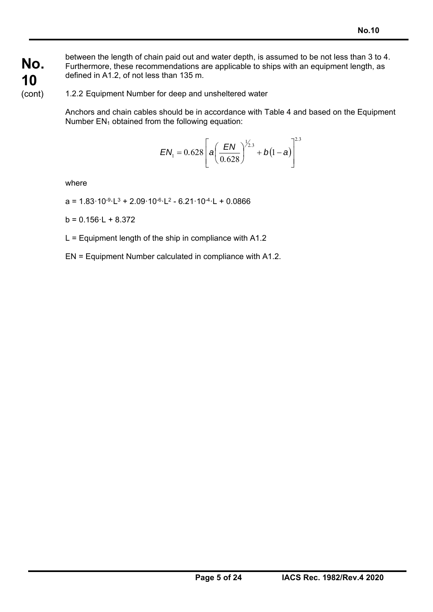**No. 10**  between the length of chain paid out and water depth, is assumed to be not less than 3 to 4. Furthermore, these recommendations are applicable to ships with an equipment length, as defined in A1.2, of not less than 135 m.

1.2.2 Equipment Number for deep and unsheltered water

Anchors and chain cables should be in accordance with Table 4 and based on the Equipment Number  $EN_1$  obtained from the following equation:

$$
EN_1 = 0.628 \left[ a \left( \frac{EN}{0.628} \right)^{1/2.3} + b(1-a) \right]^{2.3}
$$

where

(cont)

 $a = 1.83 \cdot 10^{-9} \cdot L^3 + 2.09 \cdot 10^{-6} \cdot L^2 - 6.21 \cdot 10^{-4} \cdot L + 0.0866$ 

 $b = 0.156 \cdot L + 8.372$ 

 $L =$  Equipment length of the ship in compliance with A1.2

EN = Equipment Number calculated in compliance with A1.2.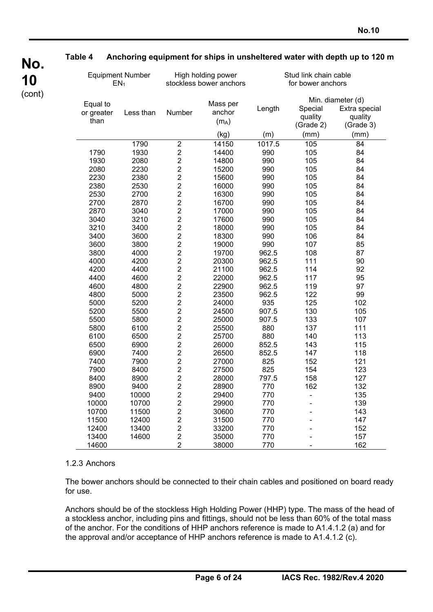|                                | <b>Equipment Number</b><br>EN <sub>1</sub> |           |                         | High holding power<br>stockless bower anchors | Stud link chain cable<br>for bower anchors |                                 |                                                            |  |
|--------------------------------|--------------------------------------------|-----------|-------------------------|-----------------------------------------------|--------------------------------------------|---------------------------------|------------------------------------------------------------|--|
| Equal to<br>or greater<br>than |                                            | Less than | Number                  | Mass per<br>anchor<br>$(m_A)$                 | Length                                     | Special<br>quality<br>(Grade 2) | Min. diameter (d)<br>Extra special<br>quality<br>(Grade 3) |  |
|                                |                                            |           |                         | (kg)                                          | (m)                                        | (mm)                            | (mm)                                                       |  |
|                                |                                            | 1790      | $\overline{2}$          | 14150                                         | 1017.5                                     | 105                             | 84                                                         |  |
| 1790                           |                                            | 1930      | $\overline{\mathbf{c}}$ | 14400                                         | 990                                        | 105                             | 84                                                         |  |
| 1930                           |                                            | 2080      | $\overline{c}$          | 14800                                         | 990                                        | 105                             | 84                                                         |  |
| 2080                           |                                            | 2230      | $\overline{\mathbf{c}}$ | 15200                                         | 990                                        | 105                             | 84                                                         |  |
| 2230                           |                                            | 2380      | $\overline{c}$          | 15600                                         | 990                                        | 105                             | 84                                                         |  |
| 2380                           |                                            | 2530      | $\overline{2}$          | 16000                                         | 990                                        | 105                             | 84                                                         |  |
| 2530                           |                                            | 2700      | $\overline{c}$          | 16300                                         | 990                                        | 105                             | 84                                                         |  |
| 2700                           |                                            | 2870      | $\overline{2}$          | 16700                                         | 990                                        | 105                             | 84                                                         |  |
| 2870                           |                                            | 3040      | $\overline{2}$          | 17000                                         | 990                                        | 105                             | 84                                                         |  |
| 3040                           |                                            | 3210      | $\overline{\mathbf{c}}$ | 17600                                         | 990                                        | 105                             | 84                                                         |  |
| 3210                           |                                            | 3400      | $\overline{c}$          | 18000                                         | 990                                        | 105                             | 84                                                         |  |
| 3400                           |                                            | 3600      | $\overline{2}$          | 18300                                         | 990                                        | 106                             | 84                                                         |  |
| 3600                           |                                            | 3800      | $\overline{\mathbf{c}}$ | 19000                                         | 990                                        | 107                             | 85                                                         |  |
| 3800                           |                                            | 4000      | $\overline{c}$          | 19700                                         | 962.5                                      | 108                             | 87                                                         |  |
| 4000                           |                                            | 4200      | $\overline{2}$          | 20300                                         | 962.5                                      | 111                             | 90                                                         |  |
| 4200                           |                                            | 4400      | $\overline{\mathbf{c}}$ | 21100                                         | 962.5                                      | 114                             | 92                                                         |  |
| 4400                           |                                            | 4600      | $\overline{c}$          | 22000                                         | 962.5                                      | 117                             | 95                                                         |  |
| 4600                           |                                            | 4800      | $\overline{2}$          | 22900                                         | 962.5                                      | 119                             | 97                                                         |  |
| 4800                           |                                            | 5000      | $\overline{\mathbf{c}}$ | 23500                                         | 962.5                                      | 122                             | 99                                                         |  |
| 5000                           |                                            | 5200      | $\overline{c}$          | 24000                                         | 935                                        | 125                             | 102                                                        |  |
| 5200                           |                                            | 5500      | $\overline{2}$          | 24500                                         | 907.5                                      | 130                             | 105                                                        |  |
| 5500                           |                                            | 5800      | $\overline{c}$          | 25000                                         | 907.5                                      | 133                             | 107                                                        |  |
| 5800                           |                                            | 6100      | $\overline{c}$          | 25500                                         | 880                                        | 137                             | 111                                                        |  |
| 6100                           |                                            | 6500      | $\overline{2}$          | 25700                                         | 880                                        | 140                             | 113                                                        |  |
| 6500                           |                                            | 6900      | $\overline{\mathbf{c}}$ | 26000                                         | 852.5                                      | 143                             | 115                                                        |  |
| 6900                           |                                            | 7400      | $\overline{2}$          | 26500                                         | 852.5                                      | 147                             | 118                                                        |  |
| 7400                           |                                            | 7900      | $\overline{c}$          | 27000                                         | 825                                        | 152                             | 121                                                        |  |
| 7900                           |                                            | 8400      | $\overline{\mathbf{c}}$ | 27500                                         | 825                                        | 154                             | 123                                                        |  |
| 8400                           |                                            | 8900      | $\overline{2}$          | 28000                                         | 797.5                                      | 158                             | 127                                                        |  |
| 8900                           |                                            | 9400      | $\overline{2}$          | 28900                                         | 770                                        | 162                             | 132                                                        |  |
| 9400                           |                                            | 10000     | $\overline{\mathbf{c}}$ | 29400                                         | 770                                        |                                 | 135                                                        |  |
| 10000                          |                                            | 10700     | $\overline{c}$          | 29900                                         | 770                                        |                                 | 139                                                        |  |
| 10700                          |                                            | 11500     | $\overline{\mathbf{c}}$ | 30600                                         | 770                                        |                                 | 143                                                        |  |
| 11500                          |                                            | 12400     | $\overline{\mathbf{c}}$ | 31500                                         | 770                                        |                                 | 147                                                        |  |
| 12400                          |                                            | 13400     | $\overline{c}$          | 33200                                         | 770                                        |                                 | 152                                                        |  |
| 13400                          |                                            | 14600     | $\boldsymbol{2}$        | 35000                                         | 770                                        |                                 | 157                                                        |  |
| 14600                          |                                            |           | $\overline{2}$          | 38000                                         | 770                                        |                                 | 162                                                        |  |

### **Table 4 Anchoring equipment for ships in unsheltered water with depth up to 120 m**

#### 1.2.3 Anchors

**No.**

**10**  (cont)

> The bower anchors should be connected to their chain cables and positioned on board ready for use.

> Anchors should be of the stockless High Holding Power (HHP) type. The mass of the head of a stockless anchor, including pins and fittings, should not be less than 60% of the total mass of the anchor. For the conditions of HHP anchors reference is made to A1.4.1.2 (a) and for the approval and/or acceptance of HHP anchors reference is made to A1.4.1.2 (c).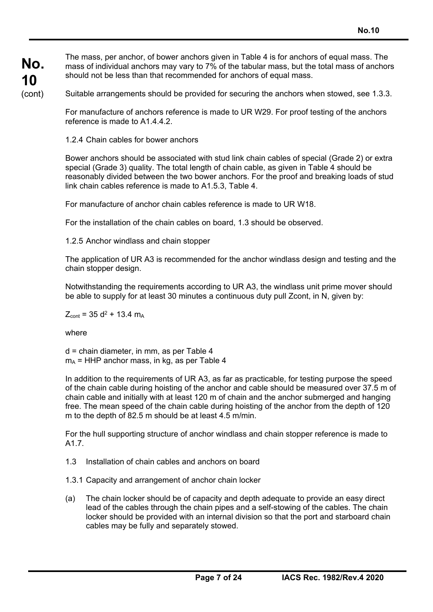**No. 10**  (cont) The mass, per anchor, of bower anchors given in Table 4 is for anchors of equal mass. The mass of individual anchors may vary to 7% of the tabular mass, but the total mass of anchors should not be less than that recommended for anchors of equal mass.

Suitable arrangements should be provided for securing the anchors when stowed, see 1.3.3.

For manufacture of anchors reference is made to UR W29. For proof testing of the anchors reference is made to A1.4.4.2.

1.2.4 Chain cables for bower anchors

Bower anchors should be associated with stud link chain cables of special (Grade 2) or extra special (Grade 3) quality. The total length of chain cable, as given in Table 4 should be reasonably divided between the two bower anchors. For the proof and breaking loads of stud link chain cables reference is made to A1.5.3, Table 4.

For manufacture of anchor chain cables reference is made to UR W18.

For the installation of the chain cables on board, 1.3 should be observed.

1.2.5 Anchor windlass and chain stopper

The application of UR A3 is recommended for the anchor windlass design and testing and the chain stopper design.

Notwithstanding the requirements according to UR A3, the windlass unit prime mover should be able to supply for at least 30 minutes a continuous duty pull Zcont, in N, given by:

 $Z_{\text{cont}}$  = 35 d<sup>2</sup> + 13.4 m<sub>A</sub>

where

d = chain diameter, in mm, as per Table 4  $m_A$  = HHP anchor mass, in kg, as per Table 4

In addition to the requirements of UR A3, as far as practicable, for testing purpose the speed of the chain cable during hoisting of the anchor and cable should be measured over 37.5 m of chain cable and initially with at least 120 m of chain and the anchor submerged and hanging free. The mean speed of the chain cable during hoisting of the anchor from the depth of 120 m to the depth of 82.5 m should be at least 4.5 m/min.

For the hull supporting structure of anchor windlass and chain stopper reference is made to A1.7.

- 1.3 Installation of chain cables and anchors on board
- 1.3.1 Capacity and arrangement of anchor chain locker
- (a) The chain locker should be of capacity and depth adequate to provide an easy direct lead of the cables through the chain pipes and a self-stowing of the cables. The chain locker should be provided with an internal division so that the port and starboard chain cables may be fully and separately stowed.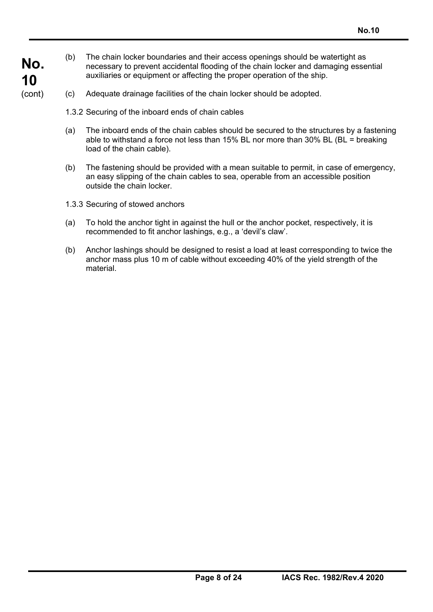- (b) The chain locker boundaries and their access openings should be watertight as necessary to prevent accidental flooding of the chain locker and damaging essential auxiliaries or equipment or affecting the proper operation of the ship.
- (c) Adequate drainage facilities of the chain locker should be adopted.
	- 1.3.2 Securing of the inboard ends of chain cables
	- (a) The inboard ends of the chain cables should be secured to the structures by a fastening able to withstand a force not less than 15% BL nor more than 30% BL (BL = breaking load of the chain cable).
	- (b) The fastening should be provided with a mean suitable to permit, in case of emergency, an easy slipping of the chain cables to sea, operable from an accessible position outside the chain locker.
	- 1.3.3 Securing of stowed anchors

**No.**

**10**  (cont)

- (a) To hold the anchor tight in against the hull or the anchor pocket, respectively, it is recommended to fit anchor lashings, e.g., a 'devil's claw'.
- (b) Anchor lashings should be designed to resist a load at least corresponding to twice the anchor mass plus 10 m of cable without exceeding 40% of the yield strength of the material.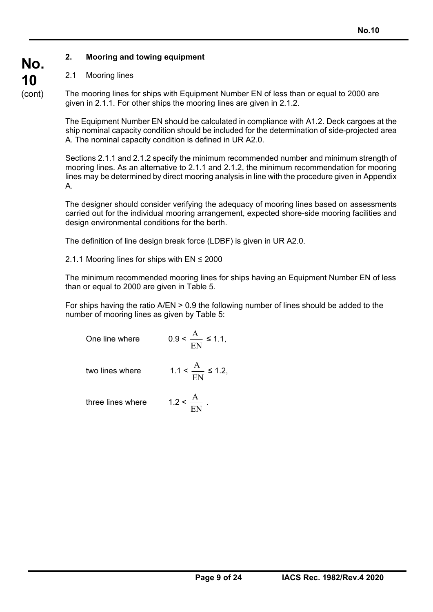# **2. Mooring and towing equipment**

# 2.1 Mooring lines

The mooring lines for ships with Equipment Number EN of less than or equal to 2000 are given in 2.1.1. For other ships the mooring lines are given in 2.1.2.

The Equipment Number EN should be calculated in compliance with A1.2. Deck cargoes at the ship nominal capacity condition should be included for the determination of side-projected area A. The nominal capacity condition is defined in UR A2.0.

Sections 2.1.1 and 2.1.2 specify the minimum recommended number and minimum strength of mooring lines. As an alternative to 2.1.1 and 2.1.2, the minimum recommendation for mooring lines may be determined by direct mooring analysis in line with the procedure given in Appendix A.

The designer should consider verifying the adequacy of mooring lines based on assessments carried out for the individual mooring arrangement, expected shore-side mooring facilities and design environmental conditions for the berth.

The definition of line design break force (LDBF) is given in UR A2.0.

2.1.1 Mooring lines for ships with EN ≤ 2000

The minimum recommended mooring lines for ships having an Equipment Number EN of less than or equal to 2000 are given in Table 5.

For ships having the ratio A/EN > 0.9 the following number of lines should be added to the number of mooring lines as given by Table 5:

One line where  $\qquad \qquad$  (

$$
0.9 < \frac{\text{A}}{\text{EN}} \le 1.1,
$$

two lines where  $1.1$ 

$$
< \frac{A}{EN} \le 1.2,
$$

three lines where EN  $\frac{A}{\cdots}$ .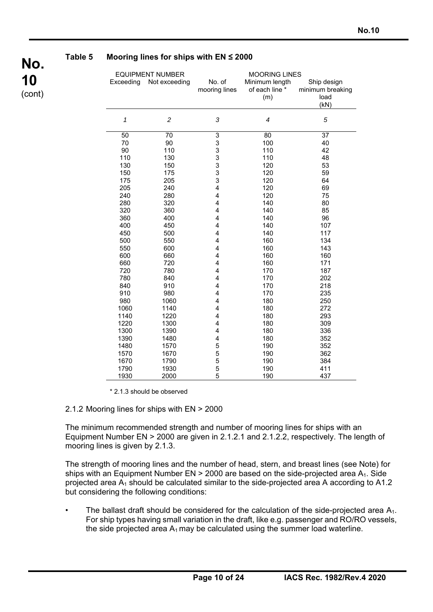

### **Table 5 Mooring lines for ships with EN ≤ 2000**

| <b>EQUIPMENT NUMBER</b> |                | <b>MOORING LINES</b>    |                |                  |  |  |  |
|-------------------------|----------------|-------------------------|----------------|------------------|--|--|--|
| Exceeding               | Not exceeding  | No. of                  | Minimum length | Ship design      |  |  |  |
|                         |                | mooring lines           | of each line * | minimum breaking |  |  |  |
|                         |                |                         | (m)            | load             |  |  |  |
|                         |                |                         |                | (kN)             |  |  |  |
|                         |                |                         |                |                  |  |  |  |
| 1                       | $\overline{c}$ | 3                       | 4              | 5                |  |  |  |
|                         |                |                         |                |                  |  |  |  |
| 50                      | 70             | 3                       | 80             | 37               |  |  |  |
| 70                      | 90             | 3                       | 100            | 40               |  |  |  |
| 90                      | 110            | 3                       | 110            | 42               |  |  |  |
| 110                     | 130            | 3                       | 110            | 48               |  |  |  |
| 130                     | 150            | 3                       | 120            | 53               |  |  |  |
| 150                     | 175            | 3                       | 120            | 59               |  |  |  |
| 175                     | 205            | 3                       | 120            | 64               |  |  |  |
| 205                     | 240            | 4                       | 120            | 69               |  |  |  |
| 240                     | 280            | $\overline{\mathbf{4}}$ | 120            | 75               |  |  |  |
| 280                     | 320            | 4                       | 140            | 80               |  |  |  |
| 320                     | 360            | 4                       | 140            | 85               |  |  |  |
| 360                     | 400            | 4                       | 140            | 96               |  |  |  |
| 400                     | 450            | 4                       | 140            | 107              |  |  |  |
| 450                     | 500            | 4                       | 140            | 117              |  |  |  |
| 500                     | 550            | $\overline{4}$          | 160            | 134              |  |  |  |
| 550                     | 600            | 4                       | 160            | 143              |  |  |  |
| 600                     | 660            | 4                       | 160            | 160              |  |  |  |
| 660                     | 720            | 4                       | 160            | 171              |  |  |  |
| 720                     | 780            | 4                       | 170            | 187              |  |  |  |
| 780                     | 840            | 4                       | 170            | 202              |  |  |  |
| 840                     | 910            | $\overline{4}$          | 170            | 218              |  |  |  |
| 910                     | 980            | 4                       | 170            | 235              |  |  |  |
| 980                     | 1060           | 4                       | 180            | 250              |  |  |  |
| 1060                    | 1140           | 4                       | 180            | 272              |  |  |  |
| 1140                    | 1220           | 4                       | 180            | 293              |  |  |  |
| 1220                    | 1300           | 4                       | 180            | 309              |  |  |  |
| 1300                    | 1390           | 4                       | 180            | 336              |  |  |  |
| 1390                    | 1480           | 4                       | 180            | 352              |  |  |  |
| 1480                    | 1570           | 5                       | 190            | 352              |  |  |  |
| 1570                    | 1670           | 5                       | 190            | 362              |  |  |  |
| 1670                    | 1790           | 5                       | 190            | 384              |  |  |  |
| 1790                    | 1930           | 5                       | 190            | 411              |  |  |  |
| 1930                    | 2000           | 5                       | 190            | 437              |  |  |  |

\* 2.1.3 should be observed

#### 2.1.2 Mooring lines for ships with EN > 2000

The minimum recommended strength and number of mooring lines for ships with an Equipment Number EN > 2000 are given in 2.1.2.1 and 2.1.2.2, respectively. The length of mooring lines is given by 2.1.3.

The strength of mooring lines and the number of head, stern, and breast lines (see Note) for ships with an Equipment Number EN  $>$  2000 are based on the side-projected area  $A_1$ . Side projected area  $A_1$  should be calculated similar to the side-projected area A according to A1.2 but considering the following conditions:

The ballast draft should be considered for the calculation of the side-projected area  $A_1$ . For ship types having small variation in the draft, like e.g. passenger and RO/RO vessels, the side projected area  $A_1$  may be calculated using the summer load waterline.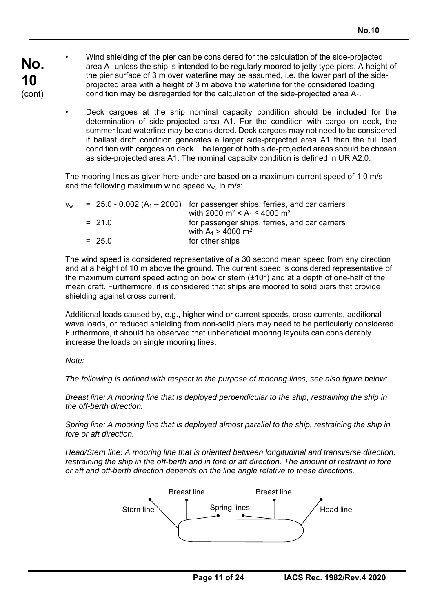- **No. 10**  (cont) • Wind shielding of the pier can be considered for the calculation of the side-projected area  $A_1$  unless the ship is intended to be regularly moored to jetty type piers. A height of the pier surface of 3 m over waterline may be assumed, i.e. the lower part of the sideprojected area with a height of 3 m above the waterline for the considered loading condition may be disregarded for the calculation of the side-projected area A1.
	- Deck cargoes at the ship nominal capacity condition should be included for the determination of side-projected area A1. For the condition with cargo on deck, the summer load waterline may be considered. Deck cargoes may not need to be considered if ballast draft condition generates a larger side-projected area A1 than the full load condition with cargoes on deck. The larger of both side-projected areas should be chosen as side-projected area A1. The nominal capacity condition is defined in UR A2.0.

The mooring lines as given here under are based on a maximum current speed of 1.0 m/s and the following maximum wind speed  $v_w$ , in m/s:

| $V_w$ |          | $= 25.0 - 0.002$ (A <sub>1</sub> – 2000) for passenger ships, ferries, and car carriers |
|-------|----------|-----------------------------------------------------------------------------------------|
|       |          | with 2000 m <sup>2</sup> < A <sub>1</sub> $\leq$ 4000 m <sup>2</sup>                    |
|       | $= 21.0$ | for passenger ships, ferries, and car carriers                                          |
|       |          | with $A_1 > 4000$ m <sup>2</sup>                                                        |
|       | $= 25.0$ | for other ships                                                                         |

The wind speed is considered representative of a 30 second mean speed from any direction and at a height of 10 m above the ground. The current speed is considered representative of the maximum current speed acting on bow or stern (±10°) and at a depth of one-half of the mean draft. Furthermore, it is considered that ships are moored to solid piers that provide shielding against cross current.

Additional loads caused by, e.g., higher wind or current speeds, cross currents, additional wave loads, or reduced shielding from non-solid piers may need to be particularly considered. Furthermore, it should be observed that unbeneficial mooring layouts can considerably increase the loads on single mooring lines.

*Note:* 

*The following is defined with respect to the purpose of mooring lines, see also figure below:* 

*Breast line: A mooring line that is deployed perpendicular to the ship, restraining the ship in the off-berth direction.* 

*Spring line: A mooring line that is deployed almost parallel to the ship, restraining the ship in fore or aft direction.* 

*Head/Stern line: A mooring line that is oriented between longitudinal and transverse direction, restraining the ship in the off-berth and in fore or aft direction. The amount of restraint in fore or aft and off-berth direction depends on the line angle relative to these directions.* 

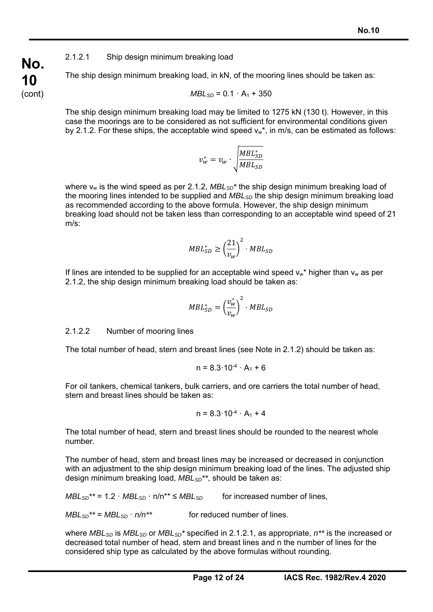# 2.1.2.1 Ship design minimum breaking load

The ship design minimum breaking load, in kN, of the mooring lines should be taken as:

$$
MBL_{SD} = 0.1 \cdot A_1 + 350
$$

The ship design minimum breaking load may be limited to 1275 kN (130 t). However, in this case the moorings are to be considered as not sufficient for environmental conditions given by 2.1.2. For these ships, the acceptable wind speed  $v_w^*$ , in m/s, can be estimated as follows:

$$
v_w^* = v_w \cdot \sqrt{\frac{MBL_{SD}^*}{MBL_{SD}}}
$$

where v<sub>w</sub> is the wind speed as per 2.1.2, MBL<sub>SD</sub><sup>\*</sup> the ship design minimum breaking load of the mooring lines intended to be supplied and *MBLSD* the ship design minimum breaking load as recommended according to the above formula. However, the ship design minimum breaking load should not be taken less than corresponding to an acceptable wind speed of 21 m/s:

$$
MBL_{SD}^* \ge \left(\frac{21}{v_w}\right)^2 \cdot MBL_{SD}
$$

If lines are intended to be supplied for an acceptable wind speed  $v_w^*$  higher than  $v_w$  as per 2.1.2, the ship design minimum breaking load should be taken as:

$$
MBL_{SD}^* = \left(\frac{v_w^*}{v_w}\right)^2 \cdot MBL_{SD}
$$

### 2.1.2.2 Number of mooring lines

The total number of head, stern and breast lines (see Note in 2.1.2) should be taken as:

$$
n = 8.3 \cdot 10^{-4} \cdot A_1 + 6
$$

For oil tankers, chemical tankers, bulk carriers, and ore carriers the total number of head, stern and breast lines should be taken as:

$$
n = 8.3 \cdot 10^{-4} \cdot A_1 + 4
$$

The total number of head, stern and breast lines should be rounded to the nearest whole number.

The number of head, stern and breast lines may be increased or decreased in conjunction with an adjustment to the ship design minimum breaking load of the lines. The adjusted ship design minimum breaking load, *MBLSD\*\**, should be taken as:

 $MBL_{SD}^{**}$  = 1.2  $\cdot$  *MBL<sub>SD</sub>*  $\cdot$  n/n<sup>\*\*</sup>  $\leq$  *MBL<sub>SD</sub>* for increased number of lines,

 $MBL_{SD}^{**} = MBL_{SD} \cdot n/n^{**}$  for reduced number of lines.

where *MBL<sub>SD</sub>* is *MBL<sub>SD</sub>* or *MBL<sub>SD</sub>*<sup>\*</sup> specified in 2.1.2.1, as appropriate,  $n^{**}$  is the increased or decreased total number of head, stern and breast lines and n the number of lines for the considered ship type as calculated by the above formulas without rounding.

**No. 10**  (cont)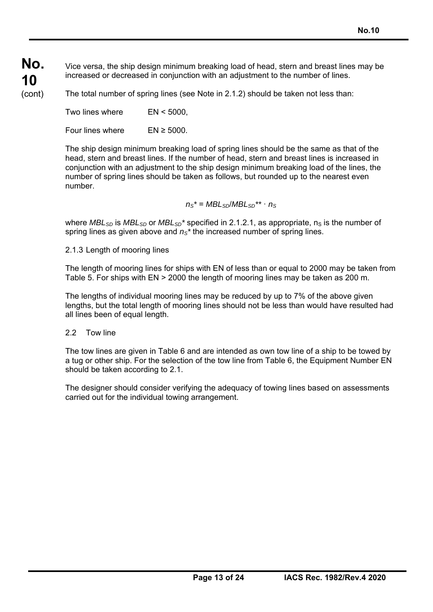**No. 10**  (cont)

Vice versa, the ship design minimum breaking load of head, stern and breast lines may be increased or decreased in conjunction with an adjustment to the number of lines.

The total number of spring lines (see Note in 2.1.2) should be taken not less than:

Two lines where EN < 5000,

Four lines where  $EN \geq 5000$ .

The ship design minimum breaking load of spring lines should be the same as that of the head, stern and breast lines. If the number of head, stern and breast lines is increased in conjunction with an adjustment to the ship design minimum breaking load of the lines, the number of spring lines should be taken as follows, but rounded up to the nearest even number.

 $n_S^* = MBL_{SD}/MBL_{SD}^{**} \cdot n_S$ 

where *MBL<sub>SD</sub>* is *MBL<sub>SD</sub>* or *MBL<sub>SD</sub>*<sup>\*</sup> specified in 2.1.2.1, as appropriate, n<sub>S</sub> is the number of spring lines as given above and  $n<sub>S</sub>$ <sup>\*</sup> the increased number of spring lines.

# 2.1.3 Length of mooring lines

The length of mooring lines for ships with EN of less than or equal to 2000 may be taken from Table 5. For ships with EN > 2000 the length of mooring lines may be taken as 200 m.

The lengths of individual mooring lines may be reduced by up to 7% of the above given lengths, but the total length of mooring lines should not be less than would have resulted had all lines been of equal length.

# 2.2 Tow line

The tow lines are given in Table 6 and are intended as own tow line of a ship to be towed by a tug or other ship. For the selection of the tow line from Table 6, the Equipment Number EN should be taken according to 2.1.

The designer should consider verifying the adequacy of towing lines based on assessments carried out for the individual towing arrangement.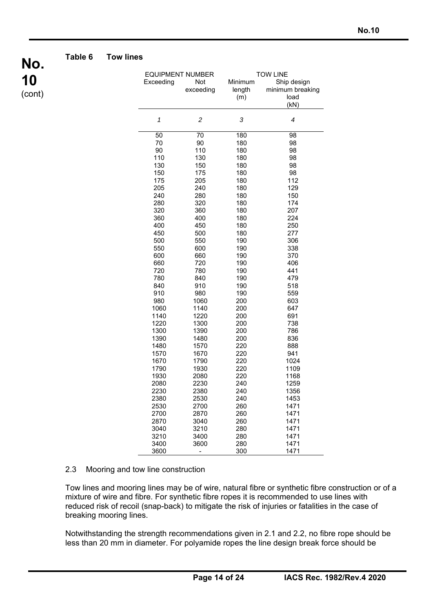

#### **Table 6 Tow lines**

|              | <b>EQUIPMENT NUMBER</b>  | <b>TOW LINE</b> |                  |  |  |
|--------------|--------------------------|-----------------|------------------|--|--|
| Exceeding    | Not                      | Minimum         | Ship design      |  |  |
|              | exceeding                | length          | minimum breaking |  |  |
|              |                          | (m)             | load             |  |  |
|              |                          |                 | (kN)             |  |  |
|              |                          |                 |                  |  |  |
| 1            | $\overline{\mathbf{c}}$  | 3               | 4                |  |  |
| 50           | 70                       | 180             | 98               |  |  |
| 70           | 90                       | 180             | 98               |  |  |
| 90           | 110                      | 180             | 98               |  |  |
| 110          | 130                      | 180             | 98               |  |  |
| 130          | 150                      | 180             | 98               |  |  |
| 150          | 175                      | 180             | 98               |  |  |
| 175          | 205                      | 180             | 112              |  |  |
| 205          | 240                      | 180             | 129              |  |  |
| 240          | 280                      | 180             | 150              |  |  |
| 280          | 320                      | 180             | 174              |  |  |
| 320          | 360                      | 180             | 207              |  |  |
| 360          | 400                      | 180             | 224              |  |  |
| 400          | 450                      | 180             | 250              |  |  |
| 450          | 500                      | 180             | 277              |  |  |
| 500          | 550                      | 190             | 306              |  |  |
| 550          | 600                      | 190             | 338              |  |  |
| 600          | 660                      | 190             | 370              |  |  |
| 660          | 720                      | 190             | 406              |  |  |
| 720          | 780                      | 190             | 441              |  |  |
| 780          | 840                      | 190             | 479              |  |  |
| 840          | 910                      | 190             | 518              |  |  |
| 910          | 980                      | 190             | 559              |  |  |
| 980          | 1060                     | 200             | 603              |  |  |
| 1060         | 1140                     | 200             | 647              |  |  |
| 1140         | 1220                     | 200             | 691              |  |  |
| 1220         | 1300                     | 200             | 738              |  |  |
| 1300         | 1390                     | 200             | 786              |  |  |
| 1390         | 1480                     | 200             | 836              |  |  |
| 1480         | 1570                     | 220             | 888              |  |  |
| 1570         | 1670                     | 220             | 941              |  |  |
| 1670         | 1790                     | 220             | 1024             |  |  |
| 1790         | 1930                     | 220             | 1109             |  |  |
| 1930         | 2080                     | 220             | 1168             |  |  |
| 2080         | 2230                     | 240             | 1259             |  |  |
| 2230         | 2380                     | 240             | 1356             |  |  |
| 2380         | 2530                     | 240             | 1453             |  |  |
| 2530         | 2700                     | 260             | 1471<br>1471     |  |  |
| 2700         | 2870                     | 260             |                  |  |  |
| 2870         | 3040                     | 260             | 1471             |  |  |
| 3040         | 3210                     | 280             | 1471             |  |  |
| 3210<br>3400 | 3400                     | 280             | 1471             |  |  |
|              | 3600                     | 280<br>300      | 1471             |  |  |
| 3600         | $\overline{\phantom{0}}$ |                 | 1471             |  |  |

#### 2.3 Mooring and tow line construction

Tow lines and mooring lines may be of wire, natural fibre or synthetic fibre construction or of a mixture of wire and fibre. For synthetic fibre ropes it is recommended to use lines with reduced risk of recoil (snap-back) to mitigate the risk of injuries or fatalities in the case of breaking mooring lines.

Notwithstanding the strength recommendations given in 2.1 and 2.2, no fibre rope should be less than 20 mm in diameter. For polyamide ropes the line design break force should be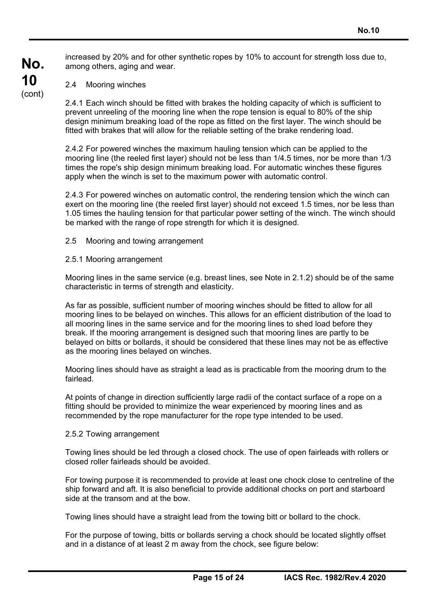increased by 20% and for other synthetic ropes by 10% to account for strength loss due to, among others, aging and wear.

2.4 Mooring winches

2.4.1 Each winch should be fitted with brakes the holding capacity of which is sufficient to prevent unreeling of the mooring line when the rope tension is equal to 80% of the ship design minimum breaking load of the rope as fitted on the first layer. The winch should be fitted with brakes that will allow for the reliable setting of the brake rendering load.

2.4.2 For powered winches the maximum hauling tension which can be applied to the mooring line (the reeled first layer) should not be less than 1/4.5 times, nor be more than 1/3 times the rope's ship design minimum breaking load. For automatic winches these figures apply when the winch is set to the maximum power with automatic control.

2.4.3 For powered winches on automatic control, the rendering tension which the winch can exert on the mooring line (the reeled first layer) should not exceed 1.5 times, nor be less than 1.05 times the hauling tension for that particular power setting of the winch. The winch should be marked with the range of rope strength for which it is designed.

#### 2.5 Mooring and towing arrangement

#### 2.5.1 Mooring arrangement

Mooring lines in the same service (e.g. breast lines, see Note in 2.1.2) should be of the same characteristic in terms of strength and elasticity.

As far as possible, sufficient number of mooring winches should be fitted to allow for all mooring lines to be belayed on winches. This allows for an efficient distribution of the load to all mooring lines in the same service and for the mooring lines to shed load before they break. If the mooring arrangement is designed such that mooring lines are partly to be belayed on bitts or bollards, it should be considered that these lines may not be as effective as the mooring lines belayed on winches.

Mooring lines should have as straight a lead as is practicable from the mooring drum to the fairlead.

At points of change in direction sufficiently large radii of the contact surface of a rope on a fitting should be provided to minimize the wear experienced by mooring lines and as recommended by the rope manufacturer for the rope type intended to be used.

#### 2.5.2 Towing arrangement

Towing lines should be led through a closed chock. The use of open fairleads with rollers or closed roller fairleads should be avoided.

For towing purpose it is recommended to provide at least one chock close to centreline of the ship forward and aft. It is also beneficial to provide additional chocks on port and starboard side at the transom and at the bow.

Towing lines should have a straight lead from the towing bitt or bollard to the chock.

For the purpose of towing, bitts or bollards serving a chock should be located slightly offset and in a distance of at least 2 m away from the chock, see figure below: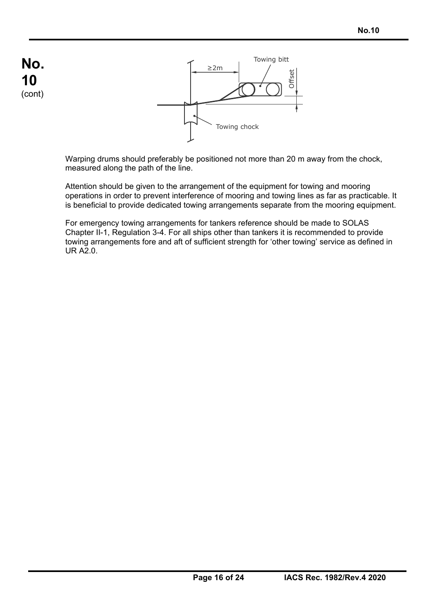

Warping drums should preferably be positioned not more than 20 m away from the chock, measured along the path of the line.

Attention should be given to the arrangement of the equipment for towing and mooring operations in order to prevent interference of mooring and towing lines as far as practicable. It is beneficial to provide dedicated towing arrangements separate from the mooring equipment.

For emergency towing arrangements for tankers reference should be made to SOLAS Chapter II-1, Regulation 3-4. For all ships other than tankers it is recommended to provide towing arrangements fore and aft of sufficient strength for 'other towing' service as defined in UR A2.0.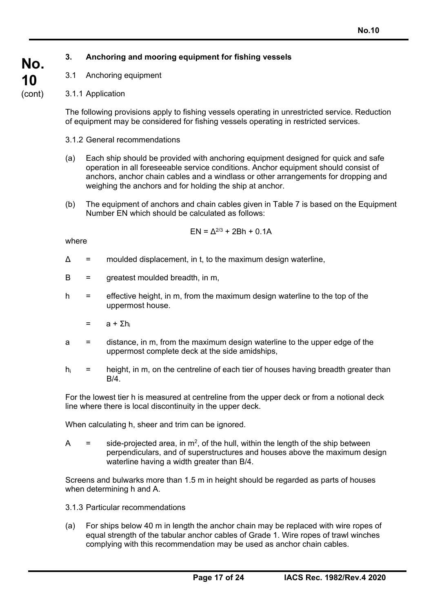# **3. Anchoring and mooring equipment for fishing vessels**

- 3.1 Anchoring equipment
- 3.1.1 Application

The following provisions apply to fishing vessels operating in unrestricted service. Reduction of equipment may be considered for fishing vessels operating in restricted services.

- 3.1.2 General recommendations
- (a) Each ship should be provided with anchoring equipment designed for quick and safe operation in all foreseeable service conditions. Anchor equipment should consist of anchors, anchor chain cables and a windlass or other arrangements for dropping and weighing the anchors and for holding the ship at anchor.
- (b) The equipment of anchors and chain cables given in Table 7 is based on the Equipment Number EN which should be calculated as follows:

$$
EN = \Delta^{2/3} + 2Bh + 0.1A
$$

where

- $\Delta$  = moulded displacement, in t, to the maximum design waterline,
- $B =$  greatest moulded breadth, in m,
- h = effective height, in m, from the maximum design waterline to the top of the uppermost house.
	- $=$  a + Σh<sub>i</sub>
- a = distance, in m, from the maximum design waterline to the upper edge of the uppermost complete deck at the side amidships,
- $h_i$  = height, in m, on the centreline of each tier of houses having breadth greater than  $B/4$ .

For the lowest tier h is measured at centreline from the upper deck or from a notional deck line where there is local discontinuity in the upper deck.

When calculating h, sheer and trim can be ignored.

A  $=$  side-projected area, in m<sup>2</sup>, of the hull, within the length of the ship between perpendiculars, and of superstructures and houses above the maximum design waterline having a width greater than B/4.

Screens and bulwarks more than 1.5 m in height should be regarded as parts of houses when determining h and A.

- 3.1.3 Particular recommendations
- (a) For ships below 40 m in length the anchor chain may be replaced with wire ropes of equal strength of the tabular anchor cables of Grade 1. Wire ropes of trawl winches complying with this recommendation may be used as anchor chain cables.

**No. 10**  (cont)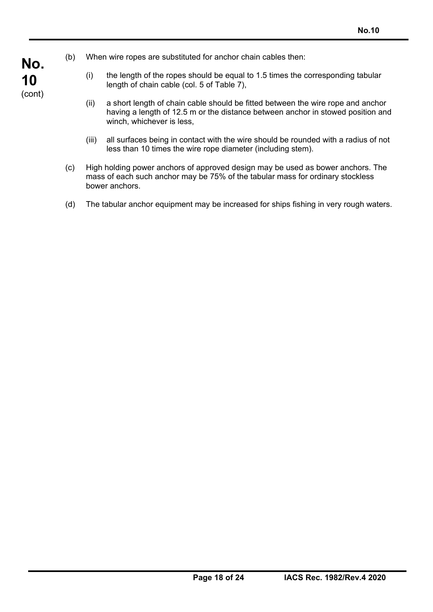- (b) When wire ropes are substituted for anchor chain cables then:
	- (i) the length of the ropes should be equal to 1.5 times the corresponding tabular length of chain cable (col. 5 of Table 7),
	- (ii) a short length of chain cable should be fitted between the wire rope and anchor having a length of 12.5 m or the distance between anchor in stowed position and winch, whichever is less,
	- (iii) all surfaces being in contact with the wire should be rounded with a radius of not less than 10 times the wire rope diameter (including stem).
- (c) High holding power anchors of approved design may be used as bower anchors. The mass of each such anchor may be 75% of the tabular mass for ordinary stockless bower anchors.
- (d) The tabular anchor equipment may be increased for ships fishing in very rough waters.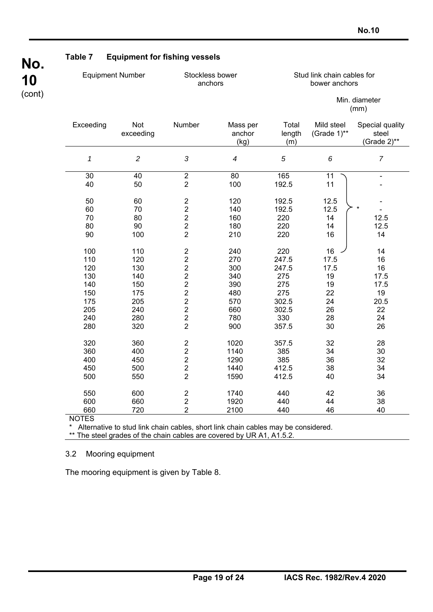**No. 10**  (cont)

# **Table 7 Equipment for fishing vessels**

| <b>Equipment Number</b> |                  | Stockless bower<br>anchors         |                            | Stud link chain cables for<br>bower anchors |                           |                                         |  |
|-------------------------|------------------|------------------------------------|----------------------------|---------------------------------------------|---------------------------|-----------------------------------------|--|
|                         |                  |                                    |                            |                                             |                           | Min. diameter<br>(mm)                   |  |
| Exceeding               | Not<br>exceeding | Number                             | Mass per<br>anchor<br>(kg) | Total<br>length<br>(m)                      | Mild steel<br>(Grade 1)** | Special quality<br>steel<br>(Grade 2)** |  |
| $\pmb{\mathcal{1}}$     | $\overline{c}$   | $\mathfrak{Z}$                     | $\overline{\mathcal{A}}$   | 5                                           | 6                         | $\overline{7}$                          |  |
| $\overline{30}$         | 40               | $\overline{2}$                     | 80                         | 165                                         | 11                        | $\qquad \qquad \blacksquare$            |  |
| 40                      | 50               | $\overline{2}$                     | 100                        | 192.5                                       | 11                        |                                         |  |
|                         |                  |                                    |                            |                                             |                           |                                         |  |
| 50<br>60                | 60<br>70         | $\boldsymbol{2}$<br>$\overline{c}$ | 120<br>140                 | 192.5<br>192.5                              | 12.5<br>12.5              | $\star$                                 |  |
| 70                      | 80               | $\overline{c}$                     | 160                        | 220                                         | 14                        | 12.5                                    |  |
| 80                      | 90               | $\overline{2}$                     | 180                        | 220                                         | 14                        | 12.5                                    |  |
| 90                      | 100              | $\overline{2}$                     | 210                        | 220                                         | 16                        | 14                                      |  |
|                         |                  |                                    |                            |                                             |                           |                                         |  |
| 100                     | 110              | $\overline{c}$                     | 240                        | 220                                         | 16                        | 14                                      |  |
| 110                     | 120              | $\overline{2}$                     | 270                        | 247.5                                       | 17.5                      | 16                                      |  |
| 120                     | 130              | $\overline{2}$                     | 300                        | 247.5                                       | 17.5                      | 16                                      |  |
| 130                     | 140              | $\overline{c}$                     | 340                        | 275                                         | 19                        | 17.5                                    |  |
| 140                     | 150              | $\overline{c}$                     | 390                        | 275                                         | 19                        | 17.5                                    |  |
| 150                     | 175              | $\overline{2}$                     | 480                        | 275                                         | 22                        | 19                                      |  |
| 175                     | 205              | $\overline{c}$                     | 570                        | 302.5                                       | 24                        | 20.5                                    |  |
| 205                     | 240              | $\overline{2}$                     | 660                        | 302.5                                       | 26                        | 22                                      |  |
| 240                     | 280              | $\overline{c}$                     | 780                        | 330                                         | 28                        | 24                                      |  |
| 280                     | 320              | $\overline{2}$                     | 900                        | 357.5                                       | 30                        | 26                                      |  |
|                         |                  |                                    |                            |                                             |                           |                                         |  |
| 320                     | 360              | $\overline{2}$                     | 1020                       | 357.5                                       | 32                        | 28                                      |  |
| 360                     | 400              | $\overline{2}$                     | 1140                       | 385                                         | 34                        | 30                                      |  |
| 400                     | 450              | $\overline{2}$                     | 1290                       | 385                                         | 36                        | 32                                      |  |
| 450                     | 500              | $\overline{c}$                     | 1440                       | 412.5                                       | 38                        | 34                                      |  |
| 500                     | 550              | $\overline{2}$                     | 1590                       | 412.5                                       | 40                        | 34                                      |  |
|                         |                  |                                    |                            |                                             |                           |                                         |  |
| 550                     | 600              | $\sqrt{2}$                         | 1740                       | 440                                         | 42                        | 36                                      |  |
| 600                     | 660              | $\overline{2}$                     | 1920                       | 440                                         | 44                        | 38                                      |  |

660 720 2 2100 440 46 40 NOTES

\* Alternative to stud link chain cables, short link chain cables may be considered.

\*\* The steel grades of the chain cables are covered by UR A1, A1.5.2.

3.2 Mooring equipment

The mooring equipment is given by Table 8.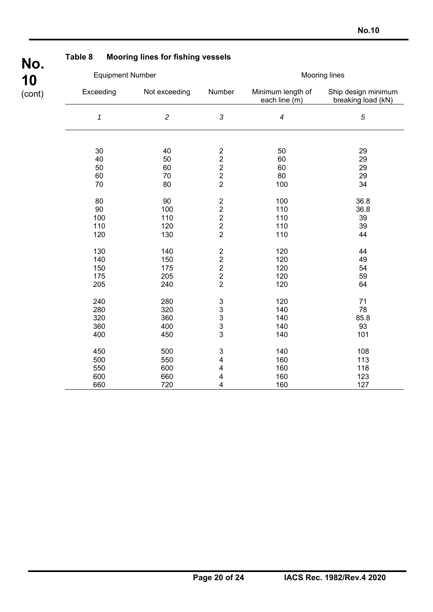| Table 8             | <b>Mooring lines for fishing vessels</b> |                                              |                                    |                                           |
|---------------------|------------------------------------------|----------------------------------------------|------------------------------------|-------------------------------------------|
|                     | <b>Equipment Number</b>                  |                                              |                                    | <b>Mooring lines</b>                      |
| Exceeding           | Not exceeding                            | Number                                       | Minimum length of<br>each line (m) | Ship design minimum<br>breaking load (kN) |
| $\pmb{\mathcal{1}}$ | $\overline{c}$                           | $\mathfrak{S}$                               | $\boldsymbol{4}$                   | 5                                         |
| $30\,$              | 40                                       | $\sqrt{2}$                                   | 50                                 | 29                                        |
| 40                  | 50                                       | $\begin{array}{c} 2 \\ 2 \\ 2 \end{array}$   | 60                                 | 29                                        |
| 50                  | 60                                       |                                              | 60                                 | 29                                        |
| 60                  | 70                                       |                                              | 80                                 | 29                                        |
| 70                  | 80                                       | $\overline{2}$                               | 100                                | 34                                        |
| 80                  | 90                                       | $\frac{2}{2}$                                | 100                                | 36.8                                      |
| 90                  | 100                                      |                                              | 110                                | 36.8                                      |
| 100                 | 110                                      |                                              | 110                                | 39                                        |
| 110                 | 120                                      | $\begin{array}{c} 2 \\ 2 \\ 2 \end{array}$   | 110                                | 39                                        |
| 120                 | 130                                      |                                              | 110                                | 44                                        |
| 130                 | 140                                      | $\overline{\mathbf{c}}$                      | 120                                | 44                                        |
| 140                 | 150                                      |                                              | 120                                | 49                                        |
| 150                 | 175                                      | $\begin{array}{c}\n2 \\ 2 \\ 2\n\end{array}$ | 120                                | 54                                        |
| 175                 | 205                                      |                                              | 120                                | 59                                        |
| 205                 | 240                                      |                                              | 120                                | 64                                        |
| 240                 | 280                                      | $\frac{3}{3}$                                | 120                                | 71                                        |
| 280                 | 320                                      |                                              | 140                                | 78                                        |
| 320                 | 360                                      | $\frac{3}{3}$                                | 140                                | 85.8                                      |
| 360                 | 400                                      |                                              | 140                                | 93                                        |
| 400                 | 450                                      | 3                                            | 140                                | 101                                       |
| 450                 | 500                                      | $\ensuremath{\mathsf{3}}$                    | 140                                | 108                                       |
| 500                 | 550                                      | $\overline{\mathbf{4}}$                      | 160                                | 113                                       |
| 550                 | 600                                      | 4                                            | 160                                | 118                                       |
| 600                 | 660                                      | 4                                            | 160                                | 123                                       |
| 660                 | 720                                      | 4                                            | 160                                | 127                                       |

# **Table 8 Mooring lines for fishing vessels**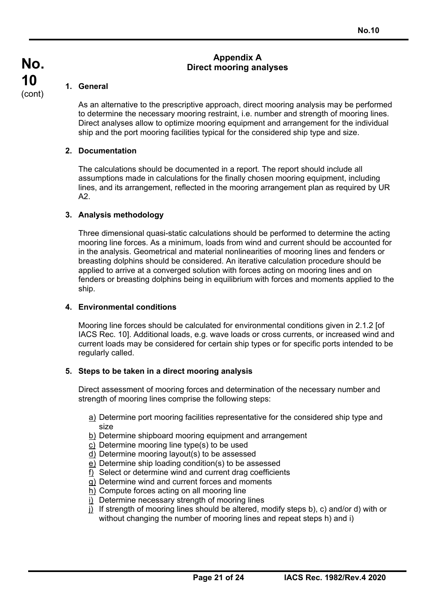### **Appendix A Direct mooring analyses**

# **1. General**

As an alternative to the prescriptive approach, direct mooring analysis may be performed to determine the necessary mooring restraint, i.e. number and strength of mooring lines. Direct analyses allow to optimize mooring equipment and arrangement for the individual ship and the port mooring facilities typical for the considered ship type and size.

# **2. Documentation**

The calculations should be documented in a report. The report should include all assumptions made in calculations for the finally chosen mooring equipment, including lines, and its arrangement, reflected in the mooring arrangement plan as required by UR A2.

# **3. Analysis methodology**

Three dimensional quasi-static calculations should be performed to determine the acting mooring line forces. As a minimum, loads from wind and current should be accounted for in the analysis. Geometrical and material nonlinearities of mooring lines and fenders or breasting dolphins should be considered. An iterative calculation procedure should be applied to arrive at a converged solution with forces acting on mooring lines and on fenders or breasting dolphins being in equilibrium with forces and moments applied to the ship.

### **4. Environmental conditions**

Mooring line forces should be calculated for environmental conditions given in 2.1.2 [of IACS Rec. 10]. Additional loads, e.g. wave loads or cross currents, or increased wind and current loads may be considered for certain ship types or for specific ports intended to be regularly called.

### **5. Steps to be taken in a direct mooring analysis**

Direct assessment of mooring forces and determination of the necessary number and strength of mooring lines comprise the following steps:

- a) Determine port mooring facilities representative for the considered ship type and size
- b) Determine shipboard mooring equipment and arrangement
- c) Determine mooring line type(s) to be used
- d) Determine mooring layout(s) to be assessed
- e) Determine ship loading condition(s) to be assessed
- f) Select or determine wind and current drag coefficients
- g) Determine wind and current forces and moments
- h) Compute forces acting on all mooring line
- i) Determine necessary strength of mooring lines
- j) If strength of mooring lines should be altered, modify steps b), c) and/or d) with or without changing the number of mooring lines and repeat steps h) and i)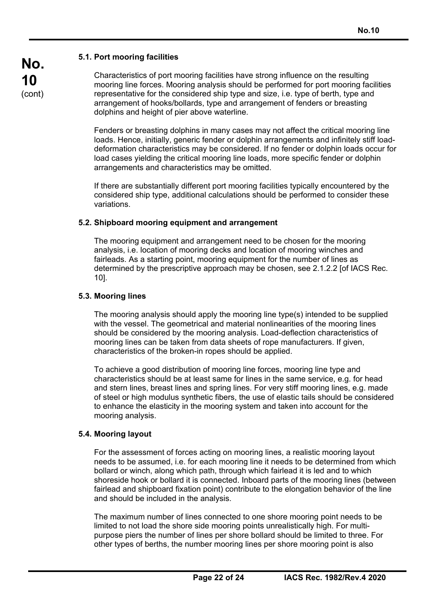# **5.1. Port mooring facilities**

Characteristics of port mooring facilities have strong influence on the resulting mooring line forces. Mooring analysis should be performed for port mooring facilities representative for the considered ship type and size, i.e. type of berth, type and arrangement of hooks/bollards, type and arrangement of fenders or breasting dolphins and height of pier above waterline.

Fenders or breasting dolphins in many cases may not affect the critical mooring line loads. Hence, initially, generic fender or dolphin arrangements and infinitely stiff loaddeformation characteristics may be considered. If no fender or dolphin loads occur for load cases yielding the critical mooring line loads, more specific fender or dolphin arrangements and characteristics may be omitted.

If there are substantially different port mooring facilities typically encountered by the considered ship type, additional calculations should be performed to consider these variations.

# **5.2. Shipboard mooring equipment and arrangement**

The mooring equipment and arrangement need to be chosen for the mooring analysis, i.e. location of mooring decks and location of mooring winches and fairleads. As a starting point, mooring equipment for the number of lines as determined by the prescriptive approach may be chosen, see 2.1.2.2 [of IACS Rec. 10].

# **5.3. Mooring lines**

The mooring analysis should apply the mooring line type(s) intended to be supplied with the vessel. The geometrical and material nonlinearities of the mooring lines should be considered by the mooring analysis. Load-deflection characteristics of mooring lines can be taken from data sheets of rope manufacturers. If given, characteristics of the broken-in ropes should be applied.

To achieve a good distribution of mooring line forces, mooring line type and characteristics should be at least same for lines in the same service, e.g. for head and stern lines, breast lines and spring lines. For very stiff mooring lines, e.g. made of steel or high modulus synthetic fibers, the use of elastic tails should be considered to enhance the elasticity in the mooring system and taken into account for the mooring analysis.

# **5.4. Mooring layout**

For the assessment of forces acting on mooring lines, a realistic mooring layout needs to be assumed, i.e. for each mooring line it needs to be determined from which bollard or winch, along which path, through which fairlead it is led and to which shoreside hook or bollard it is connected. Inboard parts of the mooring lines (between fairlead and shipboard fixation point) contribute to the elongation behavior of the line and should be included in the analysis.

The maximum number of lines connected to one shore mooring point needs to be limited to not load the shore side mooring points unrealistically high. For multipurpose piers the number of lines per shore bollard should be limited to three. For other types of berths, the number mooring lines per shore mooring point is also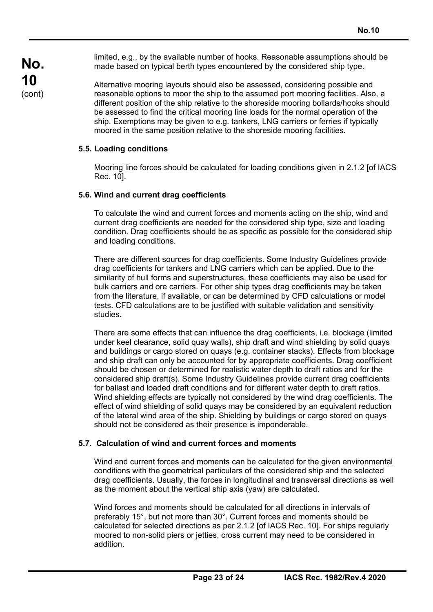limited, e.g., by the available number of hooks. Reasonable assumptions should be made based on typical berth types encountered by the considered ship type.

Alternative mooring layouts should also be assessed, considering possible and reasonable options to moor the ship to the assumed port mooring facilities. Also, a different position of the ship relative to the shoreside mooring bollards/hooks should be assessed to find the critical mooring line loads for the normal operation of the ship. Exemptions may be given to e.g. tankers, LNG carriers or ferries if typically moored in the same position relative to the shoreside mooring facilities.

### **5.5. Loading conditions**

Mooring line forces should be calculated for loading conditions given in 2.1.2 [of IACS Rec. 10].

### **5.6. Wind and current drag coefficients**

To calculate the wind and current forces and moments acting on the ship, wind and current drag coefficients are needed for the considered ship type, size and loading condition. Drag coefficients should be as specific as possible for the considered ship and loading conditions.

There are different sources for drag coefficients. Some Industry Guidelines provide drag coefficients for tankers and LNG carriers which can be applied. Due to the similarity of hull forms and superstructures, these coefficients may also be used for bulk carriers and ore carriers. For other ship types drag coefficients may be taken from the literature, if available, or can be determined by CFD calculations or model tests. CFD calculations are to be justified with suitable validation and sensitivity studies.

There are some effects that can influence the drag coefficients, i.e. blockage (limited under keel clearance, solid quay walls), ship draft and wind shielding by solid quays and buildings or cargo stored on quays (e.g. container stacks). Effects from blockage and ship draft can only be accounted for by appropriate coefficients. Drag coefficient should be chosen or determined for realistic water depth to draft ratios and for the considered ship draft(s). Some Industry Guidelines provide current drag coefficients for ballast and loaded draft conditions and for different water depth to draft ratios. Wind shielding effects are typically not considered by the wind drag coefficients. The effect of wind shielding of solid quays may be considered by an equivalent reduction of the lateral wind area of the ship. Shielding by buildings or cargo stored on quays should not be considered as their presence is imponderable.

#### **5.7. Calculation of wind and current forces and moments**

Wind and current forces and moments can be calculated for the given environmental conditions with the geometrical particulars of the considered ship and the selected drag coefficients. Usually, the forces in longitudinal and transversal directions as well as the moment about the vertical ship axis (yaw) are calculated.

Wind forces and moments should be calculated for all directions in intervals of preferably 15°, but not more than 30°. Current forces and moments should be calculated for selected directions as per 2.1.2 [of IACS Rec. 10]. For ships regularly moored to non-solid piers or jetties, cross current may need to be considered in addition.